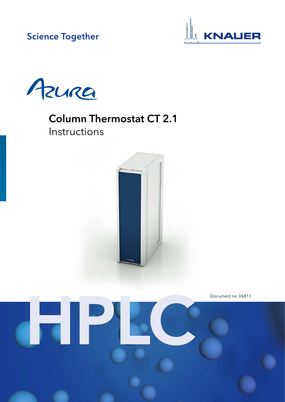**Science Together** 





# Column Thermostat CT 2.1 Instructions



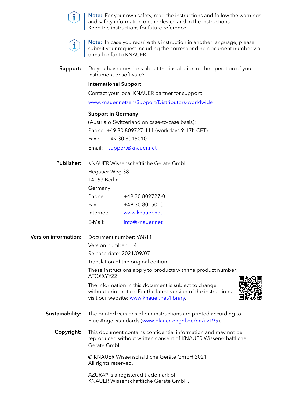

Note: For your own safety, read the instructions and follow the warnings and safety information on the device and in the instructions. Keep the instructions for future reference.



Note: In case you require this instruction in another language, please submit your request including the corresponding document number via e-mail or fax to KNAUER.

Do you have questions about the installation or the operation of your instrument or software? Support:

#### International Support:

Contact your local KNAUER partner for support:

[www.knauer.net/en/Support/Distributors-worldwide](http://www.knauer.net/en/Support/Distributors-worldwide)

#### Support in Germany

(Austria & Switzerland on case-to-case basis): Phone: +49 30 809727-111 (workdays 9-17h CET)  $Fax: +49308015010$ Email: [support@knauer.net](mailto:info%40knauer.net?subject=) 

| <b>Publisher:</b>           | KNAUER Wissenschaftliche Geräte GmbH                                              |                                                                                                                                                                          |  |  |  |  |
|-----------------------------|-----------------------------------------------------------------------------------|--------------------------------------------------------------------------------------------------------------------------------------------------------------------------|--|--|--|--|
|                             | Hegauer Weg 38                                                                    |                                                                                                                                                                          |  |  |  |  |
|                             | 14163 Berlin                                                                      |                                                                                                                                                                          |  |  |  |  |
|                             | Germany                                                                           |                                                                                                                                                                          |  |  |  |  |
|                             | Phone:                                                                            | +49 30 809727-0                                                                                                                                                          |  |  |  |  |
|                             | Fax:                                                                              | +49 30 8015010                                                                                                                                                           |  |  |  |  |
|                             | Internet:                                                                         | www.knauer.net                                                                                                                                                           |  |  |  |  |
|                             | E-Mail:                                                                           | info@knauer.net                                                                                                                                                          |  |  |  |  |
| <b>Version information:</b> | Document number: V6811                                                            |                                                                                                                                                                          |  |  |  |  |
|                             | Version number: 1.4                                                               |                                                                                                                                                                          |  |  |  |  |
|                             | Release date: 2021/09/07                                                          |                                                                                                                                                                          |  |  |  |  |
|                             | Translation of the original edition                                               |                                                                                                                                                                          |  |  |  |  |
|                             | These instructions apply to products with the product number:<br><b>ATCXXYYZZ</b> |                                                                                                                                                                          |  |  |  |  |
|                             |                                                                                   | The information in this document is subject to change<br>without prior notice. For the latest version of the instructions,<br>visit our website: www.knauer.net/library. |  |  |  |  |
| Sustainability:             |                                                                                   | The printed versions of our instructions are printed according to<br>Blue Angel standards (www.blauer-engel.de/en/uz195).                                                |  |  |  |  |
| Copyright:                  | Geräte GmbH.                                                                      | This document contains confidential information and may not be<br>reproduced without written consent of KNAUER Wissenschaftliche                                         |  |  |  |  |
|                             | All rights reserved.                                                              | © KNAUER Wissenschaftliche Geräte GmbH 2021                                                                                                                              |  |  |  |  |
|                             |                                                                                   | AZURA® is a registered trademark of<br>KNAUER Wissenschaftliche Geräte GmbH.                                                                                             |  |  |  |  |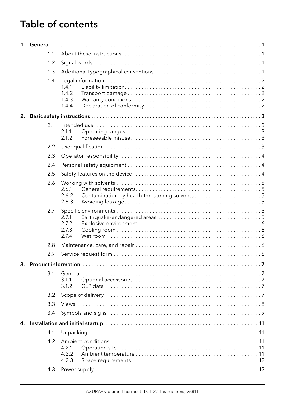# Table of contents

|    | 1.1 |                                                                          |  |
|----|-----|--------------------------------------------------------------------------|--|
|    | 1.2 |                                                                          |  |
|    | 1.3 |                                                                          |  |
|    | 1.4 | 1.4.1<br>1.4.2<br>1.4.3<br>1.4.4                                         |  |
| 2. |     |                                                                          |  |
|    | 2.1 | 2.1.1<br>2.1.2                                                           |  |
|    | 2.2 |                                                                          |  |
|    | 2.3 |                                                                          |  |
|    | 2.4 |                                                                          |  |
|    | 2.5 |                                                                          |  |
|    | 2.6 | 2.6.1<br>Contamination by health-threatening solvents5<br>2.6.2<br>2.6.3 |  |
|    | 2.7 | 2.7.1<br>2.7.2<br>2.7.3<br>2.7.4                                         |  |
|    | 2.8 |                                                                          |  |
|    | 2.9 |                                                                          |  |
| 3. |     |                                                                          |  |
|    | 3.1 | 3.1.1<br>3.1.2                                                           |  |
|    | 3.2 |                                                                          |  |
|    | 3.3 |                                                                          |  |
|    | 3.4 |                                                                          |  |
| 4. |     |                                                                          |  |
|    | 4.1 |                                                                          |  |
|    | 4.2 | 4.2.1<br>4.2.2<br>4.2.3                                                  |  |
|    | 4.3 |                                                                          |  |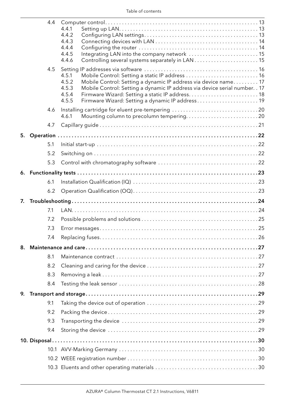|    | 4.4 | 4.4.1<br>4.4.2<br>4.4.3<br>4.4.4<br>Integrating LAN into the company network  15<br>4.4.5                                                                                                                                                                                                                   |
|----|-----|-------------------------------------------------------------------------------------------------------------------------------------------------------------------------------------------------------------------------------------------------------------------------------------------------------------|
|    | 4.5 | 4.4.6<br>Mobile Control: Setting a static IP address  16<br>4.5.1<br>Mobile Control: Setting a dynamic IP address via device name 17<br>4.5.2<br>4.5.3<br>Mobile Control: Setting a dynamic IP address via device serial number. . 17<br>4.5.4<br>4.5.5<br>Firmware Wizard: Setting a dynamic IP address 19 |
|    | 4.6 | Installing cartridge for eluent pre-tempering 20<br>Mounting column to precolumn tempering20<br>4.6.1                                                                                                                                                                                                       |
|    | 4.7 |                                                                                                                                                                                                                                                                                                             |
| 5. |     |                                                                                                                                                                                                                                                                                                             |
|    | 5.1 |                                                                                                                                                                                                                                                                                                             |
|    | 5.2 |                                                                                                                                                                                                                                                                                                             |
|    | 5.3 |                                                                                                                                                                                                                                                                                                             |
|    |     |                                                                                                                                                                                                                                                                                                             |
|    | 6.1 |                                                                                                                                                                                                                                                                                                             |
|    | 6.2 |                                                                                                                                                                                                                                                                                                             |
|    |     |                                                                                                                                                                                                                                                                                                             |
| 7. |     |                                                                                                                                                                                                                                                                                                             |
|    | 7.1 |                                                                                                                                                                                                                                                                                                             |
|    | 7.2 |                                                                                                                                                                                                                                                                                                             |
|    | 7.3 |                                                                                                                                                                                                                                                                                                             |
|    | 7.4 |                                                                                                                                                                                                                                                                                                             |
| 8. |     |                                                                                                                                                                                                                                                                                                             |
|    | 8.1 |                                                                                                                                                                                                                                                                                                             |
|    | 8.2 |                                                                                                                                                                                                                                                                                                             |
|    | 8.3 |                                                                                                                                                                                                                                                                                                             |
|    | 8.4 |                                                                                                                                                                                                                                                                                                             |
| 9. |     |                                                                                                                                                                                                                                                                                                             |
|    | 9.1 |                                                                                                                                                                                                                                                                                                             |
|    | 9.2 |                                                                                                                                                                                                                                                                                                             |
|    | 9.3 |                                                                                                                                                                                                                                                                                                             |
|    | 9.4 |                                                                                                                                                                                                                                                                                                             |
|    |     |                                                                                                                                                                                                                                                                                                             |
|    |     |                                                                                                                                                                                                                                                                                                             |
|    |     |                                                                                                                                                                                                                                                                                                             |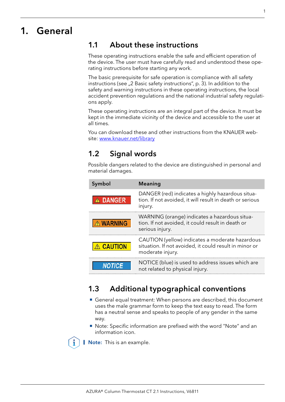# <span id="page-5-0"></span>1. General

### 1.1 About these instructions

These operating instructions enable the safe and efficient operation of the device. The user must have carefully read and understood these operating instructions before starting any work.

The basic prerequisite for safe operation is compliance with all safety instructions (see <sub>"2</sub> Basic safety instructions", p. 3). In addition to the safety and warning instructions in these operating instructions, the local accident prevention regulations and the national industrial safety regulations apply.

These operating instructions are an integral part of the device. It must be kept in the immediate vicinity of the device and accessible to the user at all times.

You can download these and other instructions from the KNAUER website: [www.knauer.net/library](http://www.knauer.net/library)

### 1.2 Signal words

Possible dangers related to the device are distinguished in personal and material damages.

| Symbol                                        | <b>Meaning</b>                                                                                                                |
|-----------------------------------------------|-------------------------------------------------------------------------------------------------------------------------------|
| A DANGER                                      | DANGER (red) indicates a highly hazardous situa-<br>tion. If not avoided, it will result in death or serious<br>injury.       |
| $\mathbb{\hat{N}}$ WARNING $\mathbb{\hat{N}}$ | WARNING (orange) indicates a hazardous situa-<br>tion. If not avoided, it could result in death or<br>serious injury.         |
| <b>CAUTION</b>                                | CAUTION (yellow) indicates a moderate hazardous<br>situation. If not avoided, it could result in minor or<br>moderate injury. |
| <b>NOTICE</b>                                 | NOTICE (blue) is used to address issues which are<br>not related to physical injury.                                          |

# 1.3 Additional typographical conventions

- General equal treatment: When persons are described, this document uses the male grammar form to keep the text easy to read. The form has a neutral sense and speaks to people of any gender in the same way.
- Note: Specific information are prefixed with the word "Note" and an information icon.

**Note:** This is an example.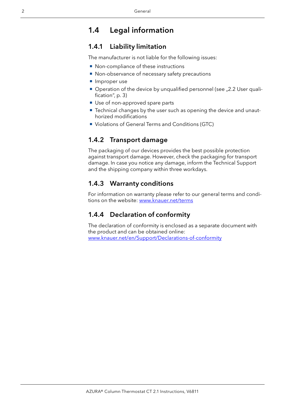### <span id="page-6-0"></span>1.4 Legal information

### <span id="page-6-1"></span>1.4.1 Liability limitation

The manufacturer is not liable for the following issues:

- Non-compliance of these instructions
- Non-observance of necessary safety precautions
- **Improper use**
- $\blacksquare$  Operation of the device by unqualified personnel (see  $\lrcorner$  2.2 User quali[fication", p. 3\)](#page-7-2)
- Use of non-approved spare parts
- Technical changes by the user such as opening the device and unauthorized modifications
- **Violations of General Terms and Conditions (GTC)**

#### 1.4.2 Transport damage

The packaging of our devices provides the best possible protection against transport damage. However, check the packaging for transport damage. In case you notice any damage, inform the Technical Support and the shipping company within three workdays.

#### 1.4.3 Warranty conditions

For information on warranty please refer to our general terms and conditions on the website: [www.knauer.net/terms](https://www.knauer.net/terms)

### 1.4.4 Declaration of conformity

The declaration of conformity is enclosed as a separate document with the product and can be obtained online: [www.knauer.net/en/Support/Declarations-of-conformity](https://www.knauer.net/en/Support/Declarations-of-conformity)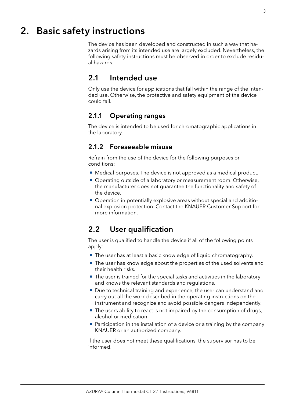# <span id="page-7-1"></span><span id="page-7-0"></span>2. Basic safety instructions

The device has been developed and constructed in such a way that hazards arising from its intended use are largely excluded. Nevertheless, the following safety instructions must be observed in order to exclude residual hazards.

### 2.1 Intended use

Only use the device for applications that fall within the range of the intended use. Otherwise, the protective and safety equipment of the device could fail.

### 2.1.1 Operating ranges

The device is intended to be used for chromatographic applications in the laboratory.

### 2.1.2 Foreseeable misuse

Refrain from the use of the device for the following purposes or conditions:

- Medical purposes. The device is not approved as a medical product.
- Operating outside of a laboratory or measurement room. Otherwise, the manufacturer does not guarantee the functionality and safety of the device.
- Operation in potentially explosive areas without special and additional explosion protection. Contact the KNAUER Customer Support for more information.

### <span id="page-7-2"></span>2.2 User qualification

The user is qualified to handle the device if all of the following points apply:

- The user has at least a basic knowledge of liquid chromatography.
- The user has knowledge about the properties of the used solvents and their health risks.
- The user is trained for the special tasks and activities in the laboratory and knows the relevant standards and regulations.
- Due to technical training and experience, the user can understand and carry out all the work described in the operating instructions on the instrument and recognize and avoid possible dangers independently.
- The users ability to react is not impaired by the consumption of drugs, alcohol or medication.
- **Participation in the installation of a device or a training by the company** KNAUER or an authorized company.

If the user does not meet these qualifications, the supervisor has to be informed.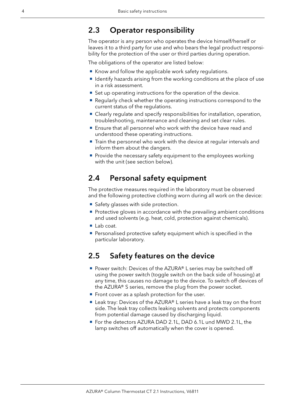### <span id="page-8-0"></span>2.3 Operator responsibility

The operator is any person who operates the device himself/herself or leaves it to a third party for use and who bears the legal product responsibility for the protection of the user or third parties during operation.

The obligations of the operator are listed below:

- Know and follow the applicable work safety regulations.
- $\blacksquare$  Identify hazards arising from the working conditions at the place of use in a risk assessment.
- Set up operating instructions for the operation of the device.
- Regularly check whether the operating instructions correspond to the current status of the regulations.
- Clearly regulate and specify responsibilities for installation, operation, troubleshooting, maintenance and cleaning and set clear rules.
- Ensure that all personnel who work with the device have read and understood these operating instructions.
- Train the personnel who work with the device at regular intervals and inform them about the dangers.
- **Provide the necessary safety equipment to the employees working** with the unit (see section below).

### 2.4 Personal safety equipment

The protective measures required in the laboratory must be observed and the following protective clothing worn during all work on the device:

- Safety glasses with side protection.
- Protective gloves in accordance with the prevailing ambient conditions and used solvents (e.g. heat, cold, protection against chemicals).
- Lab coat.
- **Personalised protective safety equipment which is specified in the** particular laboratory.

### 2.5 Safety features on the device

- Power switch: Devices of the AZURA® L series may be switched off using the power switch (toggle switch on the back side of housing) at any time, this causes no damage to the device. To switch off devices of the AZURA® S series, remove the plug from the power socket.
- Front cover as a splash protection for the user.
- Leak tray: Devices of the AZURA® L series have a leak tray on the front side. The leak tray collects leaking solvents and protects components from potential damage caused by discharging liquid.
- For the detectors AZURA DAD 2.1L, DAD 6.1L und MWD 2.1L, the lamp switches off automatically when the cover is opened.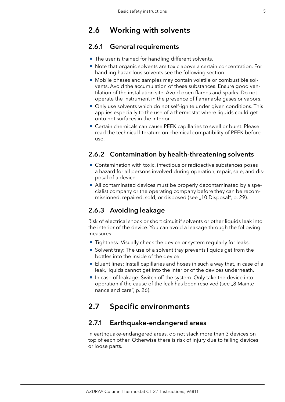# <span id="page-9-0"></span>2.6 Working with solvents

### 2.6.1 General requirements

- The user is trained for handling different solvents.
- Note that organic solvents are toxic above a certain concentration. For handling hazardous solvents see the following section.
- Mobile phases and samples may contain volatile or combustible solvents. Avoid the accumulation of these substances. Ensure good ventilation of the installation site. Avoid open flames and sparks. Do not operate the instrument in the presence of flammable gases or vapors.
- Only use solvents which do not self-ignite under given conditions. This applies especially to the use of a thermostat where liquids could get onto hot surfaces in the interior.
- Certain chemicals can cause PEEK capillaries to swell or burst. Please read the technical literature on chemical compatibility of PEEK before use.

### 2.6.2 Contamination by health-threatening solvents

- Contamination with toxic, infectious or radioactive substances poses a hazard for all persons involved during operation, repair, sale, and disposal of a device.
- All contaminated devices must be properly decontaminated by a specialist company or the operating company before they can be recommissioned, repaired, sold, or disposed (see "10 Disposal", p. 29).

### 2.6.3 Avoiding leakage

Risk of electrical shock or short circuit if solvents or other liquids leak into the interior of the device. You can avoid a leakage through the following measures:

- **Tightness: Visually check the device or system regularly for leaks.**
- **Solvent tray: The use of a solvent tray prevents liquids get from the** bottles into the inside of the device.
- Eluent lines: Install capillaries and hoses in such a way that, in case of a leak, liquids cannot get into the interior of the devices underneath.
- In case of leakage: Switch off the system. Only take the device into operation if the cause of the leak has been resolved (see "8 Maintenance and care", p. 26).

### 2.7 Specific environments

### 2.7.1 Earthquake-endangered areas

In earthquake-endangered areas, do not stack more than 3 devices on top of each other. Otherwise there is risk of injury due to falling devices or loose parts.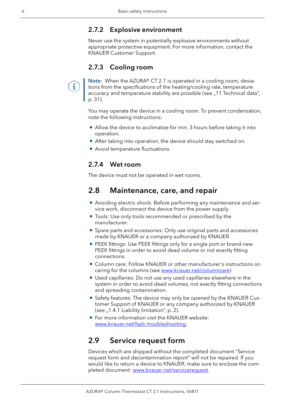#### <span id="page-10-0"></span>2.7.2 Explosive environment

Never use the system in potentially explosive environments without appropriate protective equipment. For more information, contact the KNAUER Customer Support.

#### 2.7.3 Cooling room

i.

Note: When the AZURA® CT 2.1 is operated in a cooling room, deviations from the specifications of the heating/cooling rate, temperature accuracy and temperature stability are possible (see "11 Technical data", [p. 31\)](#page-35-1).

You may operate the device in a cooling room. To prevent condensation, note the following instructions:

- Allow the device to acclimatize for min. 3 hours before taking it into operation.
- After taking into operation, the device should stay switched on.
- Avoid temperature fluctuations.

#### 2.7.4 Wet room

The device must not be operated in wet rooms.

### 2.8 Maintenance, care, and repair

- Avoiding electric shock: Before performing any maintenance and service work, disconnect the device from the power supply.
- Tools: Use only tools recommended or prescribed by the manufacturer.
- Spare parts and accessories: Only use original parts and accessories made by KNAUER or a company authorized by KNAUER.
- **PEEK fittings: Use PEEK fittings only for a single port or brand-new** PEEK fittings in order to avoid dead volume or not exactly fitting connections.
- Column care: Follow KNAUER or other manufacturer's instructions on caring for the columns (see [www.knauer.net/columncare\)](https://www.knauer.net/Dokumente/columns/lc_columns/guides/g_e_co_knauer_hplc_column_care_and_use.pdf)
- Used capillaries: Do not use any used capillaries elsewhere in the system in order to avoid dead volumes, not exactly fitting connections and spreading contamination.
- **Safety features: The device may only be opened by the KNAUER Cus**tomer Support of KNAUER or any company authorized by KNAUER (see  $, 1.4.1$  Liability limitation", p. 2).
- **For more information visit the KNAUER website:** [www.knauer.net/hplc-troubleshooting.](http://www.knauer.net/hplc-troubleshooting%20)

### 2.9 Service request form

Devices which are shipped without the completed document "Service request form and decontamination report" will not be repaired. If you would like to return a device to KNAUER, make sure to enclose the completed document: [www.knauer.net/servicer](http://www.knauer.net/servicerequest)equest.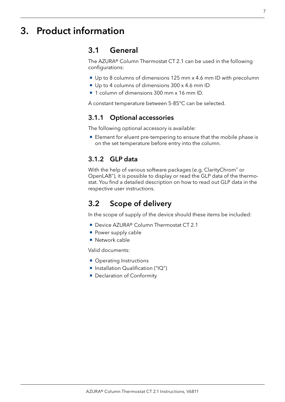# <span id="page-11-0"></span>3. Product information

### 3.1 General

The AZURA® Column Thermostat CT 2.1 can be used in the following configurations:

- Up to 8 columns of dimensions 125 mm x 4.6 mm ID with precolumn
- Up to 4 columns of dimensions 300 x 4.6 mm ID
- <sup>1</sup> 1 column of dimensions 300 mm x 16 mm ID.

A constant temperature between 5-85°C can be selected.

#### 3.1.1 Optional accessories

The following optional accessory is available:

Element for eluent pre-tempering to ensure that the mobile phase is on the set temperature before entry into the column.

#### 3.1.2 GLP data

With the help of various software packages (e.g. ClarityChrom<sup>®</sup> or OpenLAB®), it is possible to display or read the GLP data of the thermostat. You find a detailed description on how to read out GLP data in the respective user instructions.

### 3.2 Scope of delivery

In the scope of supply of the device should these items be included:

- Device AZURA® Column Thermostat CT 2.1
- **Power supply cable**
- Network cable

Valid documents:

- **Operating Instructions**
- Installation Qualification ("IQ")
- Declaration of Conformity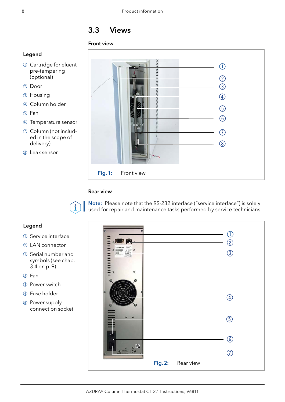# Table of contents

|    | 1.1 |                                  |                                                 |  |
|----|-----|----------------------------------|-------------------------------------------------|--|
|    | 1.2 |                                  |                                                 |  |
|    | 1.3 |                                  |                                                 |  |
|    | 1.4 | 1.4.1<br>1.4.2<br>1.4.3<br>1.4.4 |                                                 |  |
| 2. |     |                                  |                                                 |  |
|    | 2.1 | 2.1.1<br>2.1.2                   |                                                 |  |
|    | 2.2 |                                  |                                                 |  |
|    | 2.3 |                                  |                                                 |  |
|    | 2.4 |                                  |                                                 |  |
|    | 2.5 |                                  |                                                 |  |
|    | 2.6 | 2.6.1<br>2.6.2<br>2.6.3          | Contamination by health-threatening solvents  5 |  |
|    | 2.7 | 2.7.1<br>2.7.2<br>2.7.3<br>2.7.4 |                                                 |  |
|    | 2.8 |                                  |                                                 |  |
|    | 29  |                                  | . 6                                             |  |
|    |     |                                  |                                                 |  |
|    | 3.1 | 3.1.1<br>3.1.2                   |                                                 |  |
|    | 3.2 |                                  |                                                 |  |
|    | 3.3 |                                  |                                                 |  |
|    | 3.4 |                                  |                                                 |  |
|    |     |                                  |                                                 |  |
|    | 4.1 |                                  |                                                 |  |
|    | 4.2 | 4.2.1<br>4.2.2<br>4.2.3          |                                                 |  |
|    | 4.3 |                                  |                                                 |  |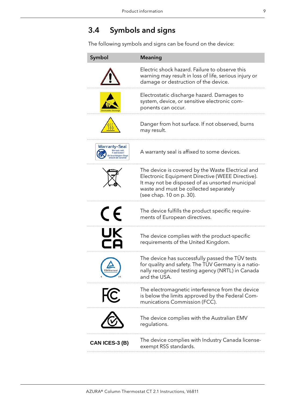# <span id="page-13-1"></span><span id="page-13-0"></span>3.4 Symbols and signs

The following symbols and signs can be found on the device:

| Symbol               | <b>Meaning</b>                                                                                                                                                                                                                 |
|----------------------|--------------------------------------------------------------------------------------------------------------------------------------------------------------------------------------------------------------------------------|
|                      | Electric shock hazard. Failure to observe this<br>warning may result in loss of life, serious injury or<br>damage or destruction of the device.                                                                                |
|                      | Electrostatic discharge hazard. Damages to<br>system, device, or sensitive electronic com-<br>ponents can occur.                                                                                                               |
|                      | Danger from hot surface. If not observed, burns<br>may result.                                                                                                                                                                 |
| <b>Warranty-Seal</b> | A warranty seal is affixed to some devices.                                                                                                                                                                                    |
|                      | The device is covered by the Waste Electrical and<br>Electronic Equipment Directive (WEEE Directive).<br>It may not be disposed of as unsorted municipal<br>waste and must be collected separately<br>(see chap. 10 on p. 30). |
| $\epsilon$           | The device fulfills the product specific require-<br>ments of European directives.                                                                                                                                             |
| UK                   | The device complies with the product-specific<br>requirements of the United Kingdom.                                                                                                                                           |
| <b>UVRheinland</b>   | The device has successfully passed the TÜV tests<br>for quality and safety. The TÜV Germany is a natio-<br>nally recognized testing agency (NRTL) in Canada<br>and the USA.                                                    |
|                      | The electromagnetic interference from the device<br>is below the limits approved by the Federal Com-<br>munications Commission (FCC).                                                                                          |
|                      | The device complies with the Australian EMV<br>regulations.                                                                                                                                                                    |
| CAN ICES-3 (B)       | The device complies with Industry Canada license-<br>exempt RSS standards.                                                                                                                                                     |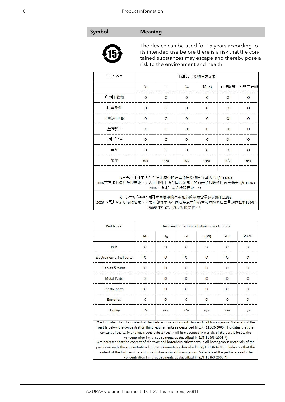#### Symbol Meaning



The device can be used for 15 years according to its intended use before there is a risk that the contained substances may escape and thereby pose a risk to the environment and health.

| 部件名称                                                | 有毒及危险物质或元素                              |                   |          |          |          |          |  |
|-----------------------------------------------------|-----------------------------------------|-------------------|----------|----------|----------|----------|--|
|                                                     | 铅                                       | 汞                 | 镉        | 铬(VI)    | 多溴联苯     | 多溴二苯醚    |  |
| 印刷电路板                                               | $\circ$                                 | $\circ$           | $\circ$  | $\circ$  | $\circ$  | $\circ$  |  |
| 机电部件                                                | $\circ$                                 | $\circ$           | $\circ$  | $\circ$  | O        | $\circ$  |  |
| 电缆和电线                                               | $\Omega$                                | $\circ$           | $\circ$  | $\Omega$ | $\Omega$ | $\Omega$ |  |
| 金属部件                                                | X                                       | $\circ$           | $\circ$  | $\circ$  | $\circ$  | $\circ$  |  |
| 塑料部件                                                | $\Omega$                                | $\Omega$          | $\Omega$ | $\Omega$ | $\Omega$ | $\Omega$ |  |
| 电池                                                  | $\circ$                                 | $\circ$           | $\circ$  | $\circ$  | $\circ$  | $\circ$  |  |
| 显示                                                  | n/a                                     | n/a               | n/a      | n/a      | n/a      | n/a      |  |
| 2006中描述的浓度极限要求。(表示部件中所有同质金属中的有毒和危险物质含量低于SJ/T 11363- | O = 表示部件中所有同质金属中的有毒和危险物质含量低于SJ/T 11363- | 2006中描述的浓度极限要求。*) |          |          |          |          |  |

X=表示部件中所有同质金属中的有毒和危险物质含量超过SJ/T 11363-2006中描述的浓度极限要求。(表示部件中所有同质金属中的有毒和危险物质含量超过SJ/T 11363-2006\*中描述的浓度极限要求。\*)

| Part Name                         | toxic and hazardous substances or elements |          |          |          |          |                            |
|-----------------------------------|--------------------------------------------|----------|----------|----------|----------|----------------------------|
|                                   | Pb                                         | Hg       | Cd       | Cr(VI)   | PBB      | PBDE                       |
| <b>PCB</b>                        | $\circ$                                    | $\circ$  | $\circ$  | $\circ$  | $\circ$  | $\circ$                    |
| Electromechanical parts           | $\Omega$                                   | $\circ$  | $\circ$  | $\circ$  | $\Omega$ | $\circ$                    |
| Cables & wires                    | $\Omega$                                   | $\Omega$ | $\Omega$ | $\Omega$ | $\Omega$ | $\Omega$                   |
| <b>Metal Parts</b>                | X                                          | $\circ$  | $\circ$  | $\circ$  | $\circ$  | $\circ$                    |
| Plastic parts                     | $\circ$                                    | $\circ$  | $\circ$  | $\circ$  | $\circ$  | $\circ$                    |
| <b>Batteries</b>                  | $\Omega$                                   | $\Omega$ | $\Omega$ | $\Omega$ | $\Omega$ | $\Omega$                   |
| Display                           | n/a                                        | n/a      | n/a      | n/a      | n/a      | n/a                        |
| and the state of the state of the | $\mathbf{r} = \mathbf{r} - \mathbf{r}$     | 1.1      | $-1$     | 1.111    |          | $\mathbf{r}$ .<br>$\cdots$ |

O = Indicates that the content of the toxic and hazardous substances in all homogenous Materials of the part is below the concentration limit requirements as described in SJ/T 11363-2006. (Indicates that the content of the toxic and hazardous substances in all homogenous Materials of the part is below the

concentration limit requirements as described in SJ/T 11363-2006.\*) X = Indicates that the content of the toxic and hazardous substances in all homogenous Materials of the part is exceeds the concentration limit requirements as described in SJ/T 11363-2006. (Indicates that the content of the toxic and hazardous substances in all homogenous Materials of the part is exceeds the concentration limit requirements as described in SJ/T 11363-2006.\*)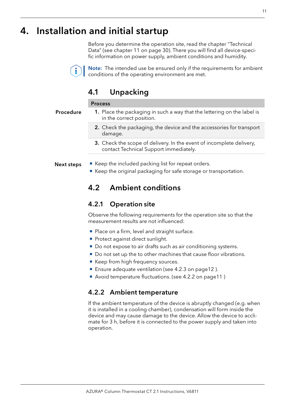# <span id="page-15-0"></span>4. Installation and initial startup

Before you determine the operation site, read the chapter "Technical Data" (see chapter 11 on page 30). There you will find all device-specific information on power supply, ambient conditions and humidity.



Note: The intended use be ensured only if the requirements for ambient conditions of the operating environment are met.

### 4.1 Unpacking

#### Process

- 1. Place the packaging in such a way that the lettering on the label is in the correct position. 2. Check the packaging, the device and the accessories for transport damage. Procedure
	- 3. Check the scope of delivery. In the event of incomplete delivery, contact Technical Support immediately.
- Keep the included packing list for repeat orders. Next steps
	- Keep the original packaging for safe storage or transportation.

### 4.2 Ambient conditions

#### 4.2.1 Operation site

Observe the following requirements for the operation site so that the measurement results are not influenced:

- Place on a firm, level and straight surface.
- Protect against direct sunlight.
- Do not expose to air drafts such as air conditioning systems.
- Do not set up the to other machines that cause floor vibrations.
- Keep from high frequency sources.
- Ensure adequate ventilation (see 4.2.3 on page12).
- <span id="page-15-1"></span>■ Avoid temperature fluctuations. (see 4.2.2 on page11)

### 4.2.2 Ambient temperature

If the ambient temperature of the device is abruptly changed (e.g. when it is installed in a cooling chamber), condensation will form inside the device and may cause damage to the device. Allow the device to acclimate for 3 h, before it is connected to the power supply and taken into operation.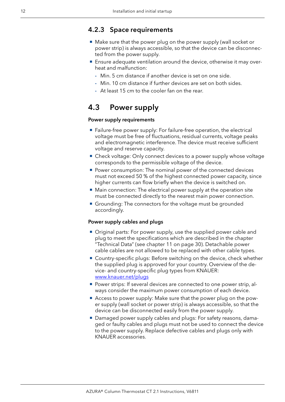#### <span id="page-16-0"></span>4.2.3 Space requirements

- <span id="page-16-1"></span>■ Make sure that the power plug on the power supply (wall socket or power strip) is always accessible, so that the device can be disconnected from the power supply.
- Ensure adequate ventilation around the device, otherwise it may overheat and malfunction:
	- Min. 5 cm distance if another device is set on one side.
	- Min. 10 cm distance if further devices are set on both sides.
	- At least 15 cm to the cooler fan on the rear.

### 4.3 Power supply

#### Power supply requirements

- Failure-free power supply: For failure-free operation, the electrical voltage must be free of fluctuations, residual currents, voltage peaks and electromagnetic interference. The device must receive sufficient voltage and reserve capacity.
- Check voltage: Only connect devices to a power supply whose voltage corresponds to the permissible voltage of the device.
- **Power consumption: The nominal power of the connected devices** must not exceed 50 % of the highest connected power capacity, since higher currents can flow briefly when the device is switched on.
- Main connection: The electrical power supply at the operation site must be connected directly to the nearest main power connection.
- Grounding: The connectors for the voltage must be grounded accordingly.

#### Power supply cables and plugs

- Original parts: For power supply, use the supplied power cable and plug to meet the specifications which are described in the chapter "Technical Data" (see chapter 11 on page 30). Detachable power cable cables are not allowed to be replaced with other cable types.
- Country-specific plugs: Before switching on the device, check whether the supplied plug is approved for your country. Overview of the device- and country-specific plug types from KNAUER: [www.knauer.net/p](https://www.knauer.net/Dokumente/accessories_and_spare_parts/hplc_accessories/manuals/V1662_Overview_powerplugs_interfaces_EN.pdf)lugs
- **Power strips: If several devices are connected to one power strip, al**ways consider the maximum power consumption of each device.
- Access to power supply: Make sure that the power plug on the power supply (wall socket or power strip) is always accessible, so that the device can be disconnected easily from the power supply.
- Damaged power supply cables and plugs: For safety reasons, damaged or faulty cables and plugs must not be used to connect the device to the power supply. Replace defective cables and plugs only with KNAUER accessories.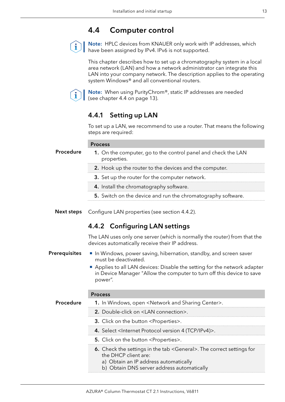### <span id="page-17-1"></span>4.4 Computer control

<span id="page-17-0"></span>

Note: HPLC devices from KNAUER only work with IP addresses, which have been assigned by IPv4. IPv6 is not supported.

This chapter describes how to set up a chromatography system in a local area network (LAN) and how a network administrator can integrate this LAN into your company network. The description applies to the operating system Windows® and all conventional routers.



Note: When using PurityChrom®, static IP addresses are needed [\(see chapter 4.4 on page 13\)](#page-17-1).

### 4.4.1 Setting up LAN

<span id="page-17-2"></span>To set up a LAN, we recommend to use a router. That means the following steps are required:

|                      | <b>Process</b>                                                                                                                                                                                                                                          |  |  |  |  |
|----------------------|---------------------------------------------------------------------------------------------------------------------------------------------------------------------------------------------------------------------------------------------------------|--|--|--|--|
| Procedure            | 1. On the computer, go to the control panel and check the LAN<br>properties.                                                                                                                                                                            |  |  |  |  |
|                      | 2. Hook up the router to the devices and the computer.                                                                                                                                                                                                  |  |  |  |  |
|                      | 3. Set up the router for the computer network.                                                                                                                                                                                                          |  |  |  |  |
|                      | 4. Install the chromatography software.                                                                                                                                                                                                                 |  |  |  |  |
|                      | 5. Switch on the device and run the chromatography software.                                                                                                                                                                                            |  |  |  |  |
| <b>Next steps</b>    | Configure LAN properties (see section 4.4.2).                                                                                                                                                                                                           |  |  |  |  |
|                      | 4.4.2 Configuring LAN settings                                                                                                                                                                                                                          |  |  |  |  |
|                      | The LAN uses only one server (which is normally the router) from that the<br>devices automatically receive their IP address.                                                                                                                            |  |  |  |  |
| <b>Prerequisites</b> | In Windows, power saving, hibernation, standby, and screen saver<br>must be deactivated.<br>Applies to all LAN devices: Disable the setting for the network adapter<br>in Device Manager "Allow the computer to turn off this device to save<br>power". |  |  |  |  |
|                      | <b>Process</b>                                                                                                                                                                                                                                          |  |  |  |  |
| Procedure            | 1. In Windows, open <network and="" center="" sharing="">.</network>                                                                                                                                                                                    |  |  |  |  |
|                      | 2. Double-click on <lan connection="">.</lan>                                                                                                                                                                                                           |  |  |  |  |
|                      | 3. Click on the button <properties>.</properties>                                                                                                                                                                                                       |  |  |  |  |
|                      | 4. Select <internet (tcp="" 4="" ipv4)="" protocol="" version="">.</internet>                                                                                                                                                                           |  |  |  |  |
|                      | 5. Click on the button <properties>.</properties>                                                                                                                                                                                                       |  |  |  |  |
|                      | 6. Check the settings in the tab <general>. The correct settings for<br/>the DHCP client are:<br/>a) Obtain an IP address automatically<br/>b) Obtain DNS server address automatically</general>                                                        |  |  |  |  |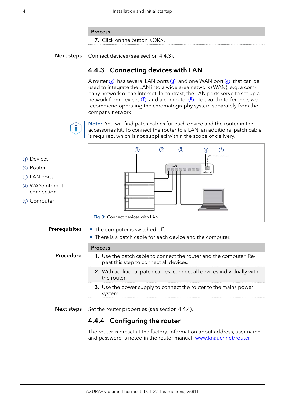#### Process

<span id="page-18-1"></span>7. Click on the button <OK>.

<span id="page-18-0"></span>Connect devices (see section [4.4.3\)](#page-18-1). Next steps

#### 4.4.3 Connecting devices with LAN

A router  $(2)$  has several LAN ports  $(3)$  and one WAN port  $(4)$  that can be used to integrate the LAN into a wide area network (WAN), e.g. a company network or the Internet. In contrast, the LAN ports serve to set up a network from devices  $(1)$  and a computer  $(5)$ . To avoid interference, we recommend operating the chromatography system separately from the company network.



Note: You will find patch cables for each device and the router in the accessories kit. To connect the router to a LAN, an additional patch cable is required, which is not supplied within the scope of delivery.



- 2 Router
- 3LAN ports
- 4WAN/Internet connection
- 5Computer



- The computer is switched off. Prerequisites
	- **There is a patch cable for each device and the computer.**

#### Process

Procedure

- 1. Use the patch cable to connect the router and the computer. Repeat this step to connect all devices.
	- 2. With additional patch cables, connect all devices individually with the router.
	- 3. Use the power supply to connect the router to the mains power system.
- Set the router properties (see section [4.4.4](#page-18-2)). Next steps

#### 4.4.4 Configuring the router

<span id="page-18-2"></span>The router is preset at the factory. Information about address, user name and password is noted in the router manual: www.knauer.net/router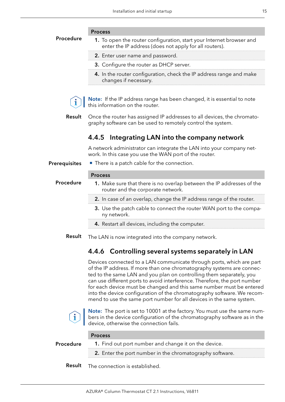<span id="page-19-0"></span>

|               | <b>Process</b>                                                                                                                                                                                                                                                                                                                                                                                                                                                                                                                 |
|---------------|--------------------------------------------------------------------------------------------------------------------------------------------------------------------------------------------------------------------------------------------------------------------------------------------------------------------------------------------------------------------------------------------------------------------------------------------------------------------------------------------------------------------------------|
| Procedure     | 1. To open the router configuration, start your Internet browser and<br>enter the IP address (does not apply for all routers).                                                                                                                                                                                                                                                                                                                                                                                                 |
|               | 2. Enter user name and password.                                                                                                                                                                                                                                                                                                                                                                                                                                                                                               |
|               | 3. Configure the router as DHCP server.                                                                                                                                                                                                                                                                                                                                                                                                                                                                                        |
|               | 4. In the router configuration, check the IP address range and make<br>changes if necessary.                                                                                                                                                                                                                                                                                                                                                                                                                                   |
|               | <b>Note:</b> If the IP address range has been changed, it is essential to note<br>this information on the router.                                                                                                                                                                                                                                                                                                                                                                                                              |
| <b>Result</b> | Once the router has assigned IP addresses to all devices, the chromato-<br>graphy software can be used to remotely control the system.                                                                                                                                                                                                                                                                                                                                                                                         |
|               | Integrating LAN into the company network<br>4.4.5                                                                                                                                                                                                                                                                                                                                                                                                                                                                              |
|               | A network administrator can integrate the LAN into your company net-<br>work. In this case you use the WAN port of the router.                                                                                                                                                                                                                                                                                                                                                                                                 |
| Prerequisites | ■ There is a patch cable for the connection.                                                                                                                                                                                                                                                                                                                                                                                                                                                                                   |
|               | <b>Process</b>                                                                                                                                                                                                                                                                                                                                                                                                                                                                                                                 |
| Procedure     | 1. Make sure that there is no overlap between the IP addresses of the<br>router and the corporate network.                                                                                                                                                                                                                                                                                                                                                                                                                     |
|               | 2. In case of an overlap, change the IP address range of the router.                                                                                                                                                                                                                                                                                                                                                                                                                                                           |
|               | 3. Use the patch cable to connect the router WAN port to the compa-<br>ny network.                                                                                                                                                                                                                                                                                                                                                                                                                                             |
|               | 4. Restart all devices, including the computer.                                                                                                                                                                                                                                                                                                                                                                                                                                                                                |
| Result        | The LAN is now integrated into the company network.                                                                                                                                                                                                                                                                                                                                                                                                                                                                            |
|               | 4.4.6 Controlling several systems separately in LAN                                                                                                                                                                                                                                                                                                                                                                                                                                                                            |
|               | Devices connected to a LAN communicate through ports, which are part<br>of the IP address. If more than one chromatography systems are connec-<br>ted to the same LAN and you plan on controlling them separately, you<br>can use different ports to avoid interference. Therefore, the port number<br>for each device must be changed and this same number must be entered<br>into the device configuration of the chromatography software. We recom-<br>mend to use the same port number for all devices in the same system. |
|               | Note: The port is set to 10001 at the factory. You must use the same num-<br>bers in the device configuration of the chromatography software as in the<br>device, otherwise the connection fails.                                                                                                                                                                                                                                                                                                                              |
|               | <b>Process</b>                                                                                                                                                                                                                                                                                                                                                                                                                                                                                                                 |
| Procedure     | 1. Find out port number and change it on the device.                                                                                                                                                                                                                                                                                                                                                                                                                                                                           |
|               | 2. Enter the port number in the chromatography software.                                                                                                                                                                                                                                                                                                                                                                                                                                                                       |
|               |                                                                                                                                                                                                                                                                                                                                                                                                                                                                                                                                |

Result The connection is established.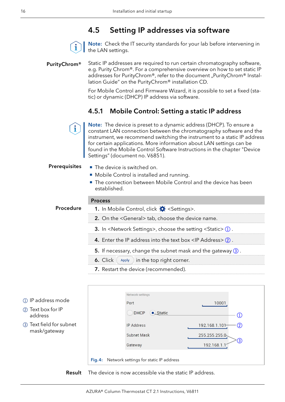### 4.5 Setting IP addresses via software



Note: Check the IT security standards for your lab before intervening in the LAN settings.

#### <span id="page-20-0"></span>PurityChrom®

Static IP addresses are required to run certain chromatography software, e.g. Purity Chrom®. For a comprehensive overview on how to set static IP addresses for PurityChrom®, refer to the document "PurityChrom® Installation Guide" on the PurityChrom® installation CD.

For Mobile Control and Firmware Wizard, it is possible to set a fixed (static) or dynamic (DHCP) IP address via software.

#### 4.5.1 Mobile Control: Setting a static IP address



Note: The device is preset to a dynamic address (DHCP). To ensure a constant LAN connection between the chromatography software and the instrument, we recommend switching the instrument to a static IP address for certain applications. More information about LAN settings can be found in the Mobile Control Software Instructions in the chapter "Device Settings" (document no. V6851).

#### **Prerequisites**

- The device is switched on.
- **Mobile Control is installed and running.**
- The connection between Mobile Control and the device has been established.

#### **Procedure**

**Process** 

| 1) IP address mode<br>2 Text box for IP<br>address | Network settings<br>Port<br><b>DHCP</b><br>$\bullet$ Static | 10001<br>$\left(1\right)$                                       |
|----------------------------------------------------|-------------------------------------------------------------|-----------------------------------------------------------------|
| 3 Text field for subnet<br>mask/gateway            | <b>IP Address</b><br><b>Subnet Mask</b><br>Gateway          | 192.168.1.101<br>$\rm(2)$<br>255.255.255.0<br>(3)<br>192.168.1. |
|                                                    | Fig. 4: Network settings for static IP address              |                                                                 |

The device is now accessible via the static IP address. Result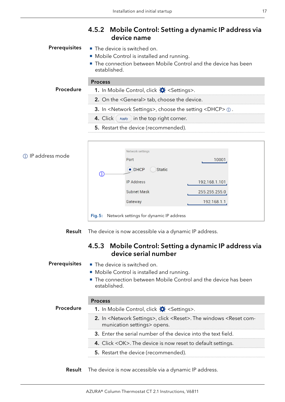### 4.5.2 Mobile Control: Setting a dynamic IP address via device name

<span id="page-21-0"></span>Prerequisites

- The device is switched on.
- **Mobile Control is installed and running.**
- The connection between Mobile Control and the device has been established.

#### Process

Procedure

| 2. On the <general> tab, choose the device.</general> |
|-------------------------------------------------------|
|                                                       |

- 3. In <Network Settings>, choose the setting <DHCP>  $\textcircled{\scriptsize{1}}$ .
- 4. Click  $\left($  Apply ) in the top right corner.

1. In Mobile Control, click  $\mathbf{\ddot{X}}$  <Settings>.

5. Restart the device (recommended).

#### 1IP address mode



The device is now accessible via a dynamic IP address. Result

### 4.5.3 Mobile Control: Setting a dynamic IP address via device serial number

#### ■ The device is switched on. **Prerequisites**

- **Mobile Control is installed and running.**
- The connection between Mobile Control and the device has been established.

|           | <b>Process</b>                                                                                                                     |
|-----------|------------------------------------------------------------------------------------------------------------------------------------|
| Procedure | 1. In Mobile Control, click $\bigstar$ <settings>.</settings>                                                                      |
|           | 2. In <network settings="">, click <reset>. The windows <reset com-<br="">munication settings&gt; opens.</reset></reset></network> |
|           | 3. Enter the serial number of the device into the text field.                                                                      |
|           | 4. Click < OK>. The device is now reset to default settings.                                                                       |
|           | <b>5.</b> Restart the device (recommended).                                                                                        |
|           |                                                                                                                                    |

Result The device is now accessible via a dynamic IP address.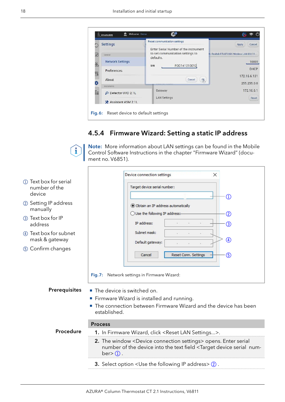<span id="page-22-0"></span>

|          | <b>Settings</b>               | <b>Reset communication settings</b>           | Cancel<br>Apply                        |
|----------|-------------------------------|-----------------------------------------------|----------------------------------------|
|          |                               | Enter Serial Number of the instrument         |                                        |
|          | General                       | to set communication settings to<br>defaults. | Realtek RTL8723BS Wireless LAN 802.11. |
| 晶        | <b>Network Settings</b>       |                                               | 10001                                  |
|          | Preferences                   | FOD141210012<br>S/N                           | DHCP                                   |
| q        | About                         | Cancel                                        | 172.16.6.131                           |
| ö        | Instruments                   | ok,<br><b>WINNARD AND LESSANS</b>             | 255.255.0.0                            |
| $\equiv$ |                               | Gateway                                       | 172.16.6.1                             |
|          | Detector UVD 2.1L<br>$\Omega$ | <b>LAN Settings</b>                           | Reset                                  |
|          | X Assistant ASM 2.1L          |                                               |                                        |

### 4.5.4 Firmware Wizard: Setting a static IP address

Note: More information about LAN settings can be found in the Mobile  $\ddot{\mathbf{1}}$ Control Software Instructions in the chapter "Firmware Wizard" (document no. V6851).

|                                                   | Device connection settings<br>×                                                                                                                                                                                                    |  |  |
|---------------------------------------------------|------------------------------------------------------------------------------------------------------------------------------------------------------------------------------------------------------------------------------------|--|--|
| 1) Text box for serial<br>number of the<br>device | Target device serial number:<br>(1)                                                                                                                                                                                                |  |  |
| 2 Setting IP address<br>manually                  | ◉ Obtain an IP address automatically<br>◯ Use the following IP address:-<br>$\circled{2}$                                                                                                                                          |  |  |
| 3 Text box for IP<br>address                      | IP address:<br>3                                                                                                                                                                                                                   |  |  |
| 4) Text box for subnet<br>mask & gateway          | Subnet mask:<br>4<br>Default gateway:                                                                                                                                                                                              |  |  |
| 5 Confirm changes                                 | Reset Conn. Settings<br>$\circledS$<br>Cancel<br>Fig.7: Network settings in Firmware Wizard:                                                                                                                                       |  |  |
| <b>Prerequisites</b>                              | • The device is switched on.<br>Firmware Wizard is installed and running.<br>The connection between Firmware Wizard and the device has been<br>established.                                                                        |  |  |
| <b>Process</b>                                    |                                                                                                                                                                                                                                    |  |  |
| Procedure                                         | 1. In Firmware Wizard, click <reset lan="" settings="">.</reset>                                                                                                                                                                   |  |  |
|                                                   | 2. The window <device connection="" settings=""> opens. Enter serial<br/>number of the device into the text field <target device="" num-<br="" serial=""><math>ber</math> <math>\geq</math> <math>\Omega</math>.</target></device> |  |  |
|                                                   | 3. Select option <use address="" following="" ip="" the=""> 2.</use>                                                                                                                                                               |  |  |
|                                                   |                                                                                                                                                                                                                                    |  |  |

r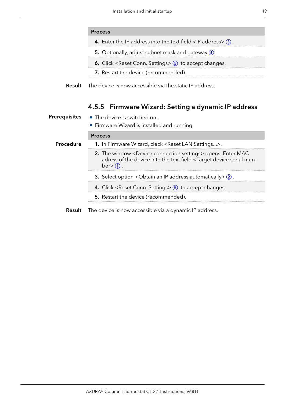#### <span id="page-23-0"></span>Process

- **4.** Enter the IP address into the text field  $\langle$  IP address $\rangle$  3.
- 5. Optionally, adjust subnet mask and gateway  $\overline{4}$ .
- 6. Click <Reset Conn. Settings>  $\textcircled{\scriptsize{5}}$  to accept changes.
- 7. Restart the device (recommended).
- The device is now accessible via the static IP address. Result

#### 4.5.5 Firmware Wizard: Setting a dynamic IP address

| <b>Prerequisites</b> | ■ The device is switched on.<br>Firmware Wizard is installed and running.                                                                                                                                                       |
|----------------------|---------------------------------------------------------------------------------------------------------------------------------------------------------------------------------------------------------------------------------|
|                      | <b>Process</b>                                                                                                                                                                                                                  |
| <b>Procedure</b>     | 1. In Firmware Wizard, cleck <reset lan="" settings="">.</reset>                                                                                                                                                                |
|                      | 2. The window <device connection="" settings=""> opens. Enter MAC<br/>adress of the device into the text field <target device="" num-<br="" serial=""><math>ber</math> <math>\geq</math> <math>\Omega</math>.</target></device> |
|                      | <b>3.</b> Select option < Obtain an IP address automatically $\geq$ 2.                                                                                                                                                          |
|                      | 4. Click <reset conn.="" settings=""> 5 to accept changes.</reset>                                                                                                                                                              |
|                      | <b>5.</b> Restart the device (recommended).                                                                                                                                                                                     |
|                      |                                                                                                                                                                                                                                 |

**Result** The device is now accessible via a dynamic IP address.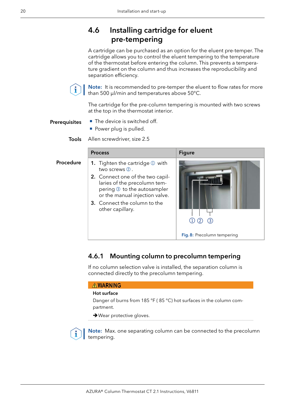### <span id="page-24-0"></span>4.6 Installing cartridge for eluent pre-tempering

A cartridge can be purchased as an option for the eluent pre-temper. The cartridge allows you to control the eluent tempering to the temperature of the thermostat before entering the column. This prevents a temperature gradient on the column and thus increases the reproducibility and separation efficiency.



Note: It is recommended to pre-temper the eluent to flow rates for more than 500 µl/min and temperatures above 50°C.

The cartridge for the pre-column tempering is mounted with two screws at the top in the thermostat interior.

- The device is switched off. **Prerequisites** 
	- **Power plug is pulled.**

Allen screwdriver, size 2.5 Tools

|           | <b>Process</b>                                                                                                                                                                        | <b>Figure</b>               |
|-----------|---------------------------------------------------------------------------------------------------------------------------------------------------------------------------------------|-----------------------------|
| Procedure | <b>1.</b> Tighten the cartridge $\mathbb{O}$ with<br>two screws $(2)$ .                                                                                                               |                             |
|           | 2. Connect one of the two capil-<br>laries of the precolumn tem-<br>pering 3 to the autosampler<br>or the manual injection valve.<br>3. Connect the column to the<br>other capillary. | Fig. 8: Precolumn tempering |
|           |                                                                                                                                                                                       |                             |

### 4.6.1 Mounting column to precolumn tempering

If no column selection valve is installed, the separation column is connected directly to the precolumn tempering.

#### **AWARNING**

#### Hot surface

Danger of burns from 185 °F ( 85 °C) hot surfaces in the column compartment.

**→ Wear protective gloves.** 

Note: Max. one separating column can be connected to the precolumn tempering.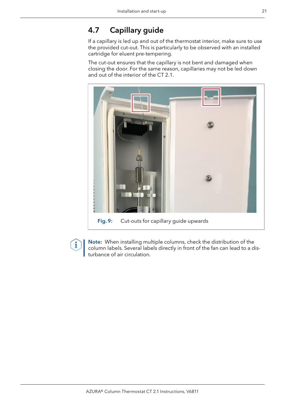### <span id="page-25-0"></span>4.7 Capillary guide

i

If a capillary is led up and out of the thermostat interior, make sure to use the provided cut-out. This is particularly to be observed with an installed cartridge for eluent pre-tempering.

The cut-out ensures that the capillary is not bent and damaged when closing the door. For the same reason, capillaries may not be led down and out of the interior of the CT 2.1.



Note: When installing multiple columns, check the distribution of the column labels. Several labels directly in front of the fan can lead to a disturbance of air circulation.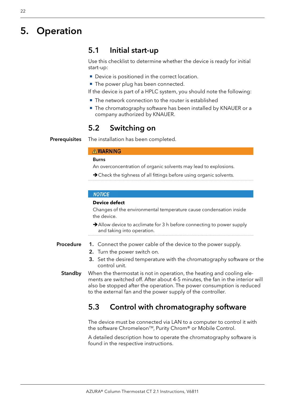# <span id="page-26-0"></span>5. Operation

### 5.1 Initial start-up

Use this checklist to determine whether the device is ready for initial start-up:

- Device is positioned in the correct location.
- The power plug has been connected.

If the device is part of a HPLC system, you should note the following:

- The network connection to the router is established
- The chromatography software has been installed by KNAUER or a company authorized by KNAUER.

### 5.2 Switching on

The installation has been completed. **Prerequisites** 

#### **AWARNING**

#### Burns

- An overconcentration of organic solvents may lead to explosions.
- $\rightarrow$  Check the tighness of all fittings before using organic solvents.

#### **NOTICE**

#### **Device defect**

Changes of the environmental temperature cause condensation inside the device.

- Allow device to acclimate for 3 h before connecting to power supply and taking into operation.
- 1. Connect the power cable of the device to the power supply. Procedure
	- 2. Turn the power switch on.
	- 3. Set the desired temperature with the chromatography software or the control unit.
	- When the thermostat is not in operation, the heating and cooling elements are switched off. After about 4-5 minutes, the fan in the interior will also be stopped after the operation. The power consumption is reduced to the external fan and the power supply of the controller. **Standby**

### 5.3 Control with chromatography software

The device must be connected via LAN to a computer to control it with the software Chromeleon<sup>™</sup>, Purity Chrom® or Mobile Control.

A detailed description how to operate the chromatography software is found in the respective instructions.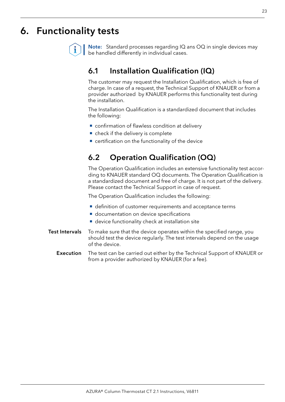# <span id="page-27-0"></span>6. Functionality tests

Note: Standard processes regarding IQ ans OQ in single devices may be handled differently in individual cases.

### 6.1 Installation Qualification (IQ)

The customer may request the Installation Qualification, which is free of charge. In case of a request, the Technical Support of KNAUER or from a provider authorized by KNAUER performs this functionality test during the installation.

The Installation Qualification is a standardized document that includes the following:

- confirmation of flawless condition at delivery
- check if the delivery is complete
- certification on the functionality of the device

### 6.2 Operation Qualification (OQ)

The Operation Qualification includes an extensive functionality test according to KNAUER standard OQ documents. The Operation Qualification is a standardized document and free of charge. It is not part of the delivery. Please contact the Technical Support in case of request.

The Operation Qualification includes the following:

- definition of customer requirements and acceptance terms
- documentation on device specifications
- **device functionality check at installation site**
- To make sure that the device operates within the specified range, you should test the device regularly. The test intervals depend on the usage of the device. Test Intervals
	- The test can be carried out either by the Technical Support of KNAUER or from a provider authorized by KNAUER (for a fee). Execution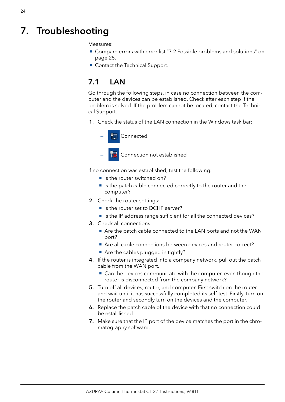# <span id="page-28-0"></span>7. Troubleshooting

Measures:

- Compare errors with error list "7.2 Possible problems and solutions" on [page 25](#page-29-1).
- Contact the Technical Support.

## 7.1 LAN

Go through the following steps, in case no connection between the computer and the devices can be established. Check after each step if the problem is solved. If the problem cannot be located, contact the Technical Support.

1. Check the status of the LAN connection in the Windows task bar:



Connection not established

If no connection was established, test the following:

- Is the router switched on?
- Is the patch cable connected correctly to the router and the computer?
- 2. Check the router settings:
	- Is the router set to DCHP server?
	- Is the IP address range sufficient for all the connected devices?
- 3. Check all connections:
	- Are the patch cable connected to the LAN ports and not the WAN port?
	- Are all cable connections between devices and router correct?
	- Are the cables plugged in tightly?
- 4. If the router is integrated into a company network, pull out the patch cable from the WAN port.
	- Can the devices communicate with the computer, even though the router is disconnected from the company network?
- 5. Turn off all devices, router, and computer. First switch on the router and wait until it has successfully completed its self-test. Firstly, turn on the router and secondly turn on the devices and the computer.
- 6. Replace the patch cable of the device with that no connection could be established.
- 7. Make sure that the IP port of the device matches the port in the chromatography software.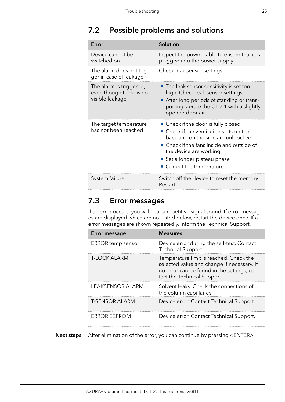# <span id="page-29-1"></span><span id="page-29-0"></span>7.2 Possible problems and solutions

| Error                                                                 | Solution                                                                                                                                                                                                                                               |
|-----------------------------------------------------------------------|--------------------------------------------------------------------------------------------------------------------------------------------------------------------------------------------------------------------------------------------------------|
| Device cannot be<br>switched on                                       | Inspect the power cable to ensure that it is<br>plugged into the power supply.                                                                                                                                                                         |
| The alarm does not trig-<br>ger in case of leakage                    | Check leak sensor settings.                                                                                                                                                                                                                            |
| The alarm is triggered,<br>even though there is no<br>visible leakage | • The leak sensor sensitivity is set too<br>high. Check leak sensor settings.<br>After long periods of standing or trans-<br>porting, aerate the CT 2.1 with a slightly<br>opened door air.                                                            |
| The target temperature<br>has not been reached                        | • Check if the door is fully closed<br>■ Check if the ventilation slots on the<br>back and on the side are unblocked<br>• Check if the fans inside and outside of<br>the device are working<br>Set a longer plateau phase<br>• Correct the temperature |
| System failure                                                        | Switch off the device to reset the memory.<br>Restart.                                                                                                                                                                                                 |

### 7.3 Error messages

If an error occurs, you will hear a repetitive signal sound. If error messages are displayed which are not listed below, restart the device once. If a error messages are shown repeatedly, inform the Technical Support.

| <b>Error message</b>     | <b>Measures</b>                                                                                                                                                     |
|--------------------------|---------------------------------------------------------------------------------------------------------------------------------------------------------------------|
| <b>ERROR temp sensor</b> | Device error during the self-test. Contact<br>Technical Support.                                                                                                    |
| <b>T-LOCK ALARM</b>      | Temperature limit is reached. Check the<br>selected value and change if necessary. If<br>no error can be found in the settings, con-<br>tact the Technical Support. |
| <b>LEAKSENSOR ALARM</b>  | Solvent leaks. Check the connections of<br>the column capillaries.                                                                                                  |
| <b>T-SENSOR ALARM</b>    | Device error. Contact Technical Support.                                                                                                                            |
| <b>ERROR EEPROM</b>      | Device error. Contact Technical Support.                                                                                                                            |

Next steps After elimination of the error, you can continue by pressing <ENTER>.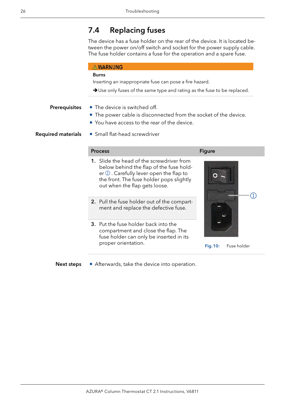### <span id="page-30-0"></span>7.4 Replacing fuses

The device has a fuse holder on the rear of the device. It is located between the power on/off switch and socket for the power supply cable. The fuse holder contains a fuse for the operation and a spare fuse.

#### **AWARNUNG**

#### Burns

Inserting an inappropriate fuse can pose a fire hazard.

→ Use only fuses of the same type and rating as the fuse to be replaced. 

#### **Prerequisites**

- The device is switched off.
- The power cable is disconnected from the socket of the device.
- You have access to the rear of the device.

Required materials

Small flat-head screwdriver

#### Process Figure Figure

- 1. Slide the head of the screwdriver from below behind the flap of the fuse holder 1. Carefully lever open the flap to the front. The fuse holder pops slightly out when the flap gets loose.
- 2. Pull the fuse holder out of the compartment and replace the defective fuse.
- 3. Put the fuse holder back into the compartment and close the flap. The fuse holder can only be inserted in its proper orientation.



Fig.10: Fuse holder

Afterwards, take the device into operation. Next steps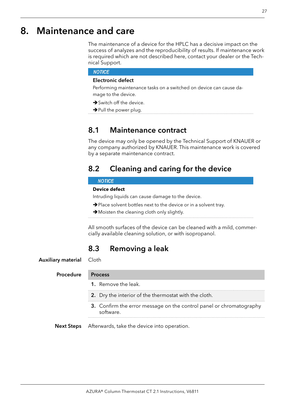# <span id="page-31-0"></span>8. Maintenance and care

The maintenance of a device for the HPLC has a decisive impact on the success of analyzes and the reproducibility of results. If maintenance work is required which are not described here, contact your dealer or the Technical Support.

#### **NOTICE**

#### Electronic defect

Performing maintenance tasks on a switched on device can cause damage to the device.

- $\rightarrow$  Switch off the device.
- $\rightarrow$  Pull the power plug.

### 8.1 Maintenance contract

The device may only be opened by the Technical Support of KNAUER or any company authorized by KNAUER. This maintenance work is covered by a separate maintenance contract.

### 8.2 Cleaning and caring for the device

#### **NOTICE**

#### **Device defect**

Intruding liquids can cause damage to the device.

- $\rightarrow$  Place solvent bottles next to the device or in a solvent tray.
- Moisten the cleaning cloth only slightly.

All smooth surfaces of the device can be cleaned with a mild, commercially available cleaning solution, or with isopropanol.

### 8.3 Removing a leak

Cloth Auxiliary material

#### Procedure Process

- 1. Remove the leak.
- 2. Dry the interior of the thermostat with the cloth.

- 3. Confirm the error message on the control panel or chromatography software.
- Afterwards, take the device into operation. Next Steps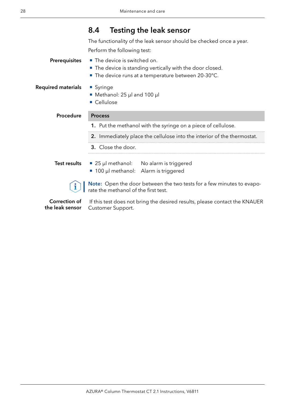## 8.4 Testing the leak sensor

The functionality of the leak sensor should be checked once a year. Perform the following test:

<span id="page-32-0"></span>

| Prerequisites             | The device is switched on.<br>■ The device is standing vertically with the door closed.<br>The device runs at a temperature between 20-30°C. |  |  |
|---------------------------|----------------------------------------------------------------------------------------------------------------------------------------------|--|--|
| <b>Required materials</b> | • Syringe<br>• Methanol: 25 µl and 100 µl<br>Cellulose                                                                                       |  |  |
| Procedure                 | <b>Process</b>                                                                                                                               |  |  |
|                           | 1. Put the methanol with the syringe on a piece of cellulose.                                                                                |  |  |
|                           | 2. Immediately place the cellulose into the interior of the thermostat.                                                                      |  |  |
|                           | 3. Close the door.                                                                                                                           |  |  |
| Test results              | ■ 25 µl methanol: No alarm is triggered<br>■ 100 µl methanol: Alarm is triggered                                                             |  |  |
|                           | Note: Open the door between the two tests for a few minutes to evapo-<br>rate the methanol of the first test.                                |  |  |
| Correction of             | If this test does not bring the desired results, please contact the KNAUER                                                                   |  |  |

the leak sensor

 If this test does not bring the desired results, please contact the KNAUER Customer Support.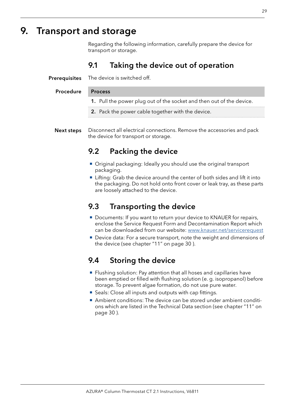# <span id="page-33-0"></span>9. Transport and storage

Regarding the following information, carefully prepare the device for transport or storage.

### 9.1 Taking the device out of operation

The device is switched off. **Prerequisites** 

#### Procedure Process

- 1. Pull the power plug out of the socket and then out of the device.
- 2. Pack the power cable together with the device.
- Disconnect all electrical connections. Remove the accessories and pack the device for transport or storage. Next steps

### 9.2 Packing the device

- Original packaging: Ideally you should use the original transport packaging.
- Lifting: Grab the device around the center of both sides and lift it into the packaging. Do not hold onto front cover or leak tray, as these parts are loosely attached to the device.

### 9.3 Transporting the device

- Documents: If you want to return your device to KNAUER for repairs, enclose the Service Request Form and Decontamination Report which can be downloaded from our website: [www.knauer.net/servicerequest](http://www.knauer.net/servicerequest)
- Device data: For a secure transport, note the weight and dimensions of the device (see chapter "11" on page 30 ).

### 9.4 Storing the device

- Flushing solution: Pay attention that all hoses and capillaries have been emptied or filled with flushing solution (e. g. isopropanol) before storage. To prevent algae formation, do not use pure water.
- Seals: Close all inputs and outputs with cap fittings.
- Ambient conditions: The device can be stored under ambient conditions which are listed in the Technical Data section (see chapter "11" on page 30 ).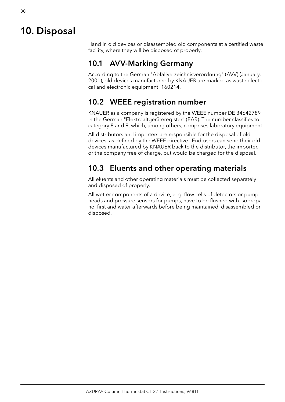# <span id="page-34-1"></span><span id="page-34-0"></span>10. Disposal

Hand in old devices or disassembled old components at a certified waste facility, where they will be disposed of properly.

### 10.1 AVV-Marking Germany

According to the German "Abfallverzeichnisverordnung" (AVV) (January, 2001), old devices manufactured by KNAUER are marked as waste electrical and electronic equipment: 160214.

### 10.2 WEEE registration number

KNAUER as a company is registered by the WEEE number DE 34642789 in the German "Elektroaltgeräteregister" (EAR). The number classifies to category 8 and 9, which, among others, comprises laboratory equipment.

All distributors and importers are responsible for the disposal of old devices, as defined by the WEEE directive . End-users can send their old devices manufactured by KNAUER back to the distributor, the importer, or the company free of charge, but would be charged for the disposal.

### 10.3 Eluents and other operating materials

All eluents and other operating materials must be collected separately and disposed of properly.

All wetter components of a device, e. g. flow cells of detectors or pump heads and pressure sensors for pumps, have to be flushed with isopropanol first and water afterwards before being maintained, disassembled or disposed.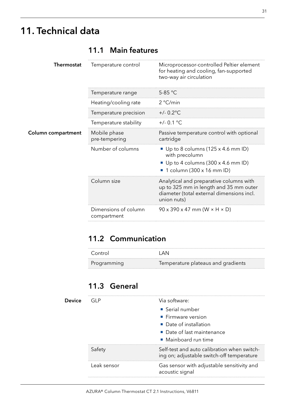# <span id="page-35-1"></span><span id="page-35-0"></span>11. Technical data

**Column** 

| Thermostat  | Temperature control                 | Microprocessor-controlled Peltier element<br>for heating and cooling, fan-supported<br>two-way air circulation                                |
|-------------|-------------------------------------|-----------------------------------------------------------------------------------------------------------------------------------------------|
|             | lemperature range                   | 5-85 °C                                                                                                                                       |
|             | Heating/cooling rate                | 2 °C/min                                                                                                                                      |
|             | Temperature precision               | $+/- 0.2$ °C                                                                                                                                  |
|             | Temperature stability               | $+/- 0.1 °C$                                                                                                                                  |
| compartment | Mobile phase<br>pre-tempering       | Passive temperature control with optional<br>cartridge                                                                                        |
|             | Number of columns                   | Up to 8 columns $(125 \times 4.6 \text{ mm ID})$<br>with precolumn<br>Up to 4 columns (300 x 4.6 mm ID)<br>1 column (300 x 16 mm ID)          |
|             | Column size                         | Analytical and preparative columns with<br>up to 325 mm in length and 35 mm outer<br>diameter (total external dimensions incl.<br>union nuts) |
|             | Dimensions of column<br>compartment | $90 \times 390 \times 47$ mm (W $\times$ H $\times$ D)                                                                                        |

### 11.1 Main features

### 11.2 Communication

| Control     | I AN                               |
|-------------|------------------------------------|
| Programming | Temperature plateaus and gradients |

### 11.3 General

| Device | GL P        | Via software:                                                                            |  |
|--------|-------------|------------------------------------------------------------------------------------------|--|
|        |             | • Serial number                                                                          |  |
|        |             | $\blacksquare$ Firmware version                                                          |  |
|        |             | • Date of installation                                                                   |  |
|        |             | • Date of last maintenance                                                               |  |
|        |             | $\blacksquare$ Mainboard run time                                                        |  |
|        | Safety      | Self-test and auto calibration when switch-<br>ing on; adjustable switch-off temperature |  |
|        | Leak sensor | Gas sensor with adjustable sensitivity and<br>acoustic signal                            |  |
|        |             |                                                                                          |  |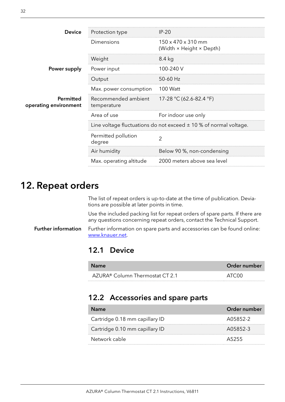<span id="page-36-0"></span>

| <b>Device</b>                      | Protection type                    | $IP-20$                                                               |
|------------------------------------|------------------------------------|-----------------------------------------------------------------------|
|                                    | Dimensions                         | $150 \times 470 \times 310$ mm<br>(Width × Height × Depth)            |
|                                    | Weight                             | 8.4 kg                                                                |
| Power supply                       | Power input                        | 100-240 V                                                             |
|                                    | Output                             | $50-60$ Hz                                                            |
|                                    | Max. power consumption             | <b>100 Watt</b>                                                       |
| Permitted<br>operating environment | Recommended ambient<br>temperature | 17-28 °C (62.6-82.4 °F)                                               |
|                                    | Area of use                        | For indoor use only                                                   |
|                                    |                                    | Line voltage fluctuations do not exceed $\pm$ 10 % of normal voltage. |
|                                    | Permitted pollution<br>degree      | 2                                                                     |
|                                    | Air humidity                       | Below 90 %, non-condensing                                            |
|                                    | Max. operating altitude            | 2000 meters above sea level                                           |
|                                    |                                    |                                                                       |

# 12. Repeat orders

The list of repeat orders is up-to-date at the time of publication. Deviations are possible at later points in time.

Use the included packing list for repeat orders of spare parts. If there are any questions concerning repeat orders, contact the Technical Support.

Further information on spare parts and accessories can be found online: www.knauer.net. Further information

### 12.1 Device

| <b>Name</b>                     | Order number      |
|---------------------------------|-------------------|
| AZURA® Column Thermostat CT 2.1 | ATC <sub>00</sub> |

### 12.2 Accessories and spare parts

| <b>Name</b>                    | Order number |
|--------------------------------|--------------|
| Cartridge 0.18 mm capillary ID | A05852-2     |
| Cartridge 0.10 mm capillary ID | A05852-3     |
| Network cable                  | A5255        |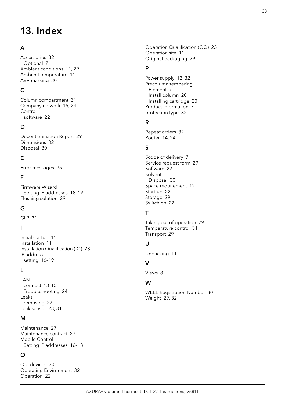# <span id="page-37-0"></span>13. Index

### A

Accessories [32](#page-36-0) Optional [7](#page-11-0) Ambient conditions [11,](#page-15-0) [29](#page-33-0) Ambient temperature [11](#page-15-0) AVV-marking [30](#page-34-0)

### C

Column compartment [31](#page-35-0) Company network [15,](#page-19-0) [24](#page-28-0) Control software [22](#page-26-0)

#### D

Decontamination Report [29](#page-33-0) Dimensions [32](#page-36-0) Disposal [30](#page-34-0)

### E

Error messages [25](#page-29-0)

#### F

Firmware Wizard Setting IP addresses [18–](#page-22-0)[19](#page-23-0) Flushing solution [29](#page-33-0)

#### G

GLP [31](#page-35-0)

#### I

Initial startup [11](#page-15-0) Installation [11](#page-15-0) Installation Qualification (IQ) [23](#page-27-0) IP address setting [16](#page-20-0)[–19](#page-23-0)

#### L

LAN connect [13–](#page-17-0)[15](#page-19-0) Troubleshooting [24](#page-28-0) Leaks removing [27](#page-31-0) Leak sensor [28,](#page-32-0) [31](#page-35-0)

#### M

Maintenance [27](#page-31-0) Maintenance contract [27](#page-31-0) Mobile Control Setting IP addresses [16–](#page-20-0)[18](#page-22-0)

#### O

Old devices [30](#page-34-0) Operating Environment [32](#page-36-0) Operation [22](#page-26-0)

Operation Qualification (OQ) [23](#page-27-0) Operation site [11](#page-15-0) Original packaging [29](#page-33-0)

#### P

Power supply [12](#page-16-0), [32](#page-36-0) Precolumn tempering Element [7](#page-11-0) Install column [20](#page-24-0) Installing cartridge [20](#page-24-0) Product information [7](#page-11-0) protection type [32](#page-36-0)

#### R

Repeat orders [32](#page-36-0) Router [14,](#page-18-0) [24](#page-28-0)

### S

Scope of delivery [7](#page-11-0) Service request form [29](#page-33-0) Software [22](#page-26-0) Solvent Disposal [30](#page-34-0) Space requirement [12](#page-16-0) Start-up [22](#page-26-0) Storage [29](#page-33-0) Switch on [22](#page-26-0)

### T

Taking out of operation [29](#page-33-0) Temperature control [31](#page-35-0) Transport [29](#page-33-0)

#### U

Unpacking [11](#page-15-0)

#### $\overline{V}$

Views [8](#page-12-0)

#### W

WEEE Registration Number [30](#page-34-0) Weight [29](#page-33-0), [32](#page-36-0)